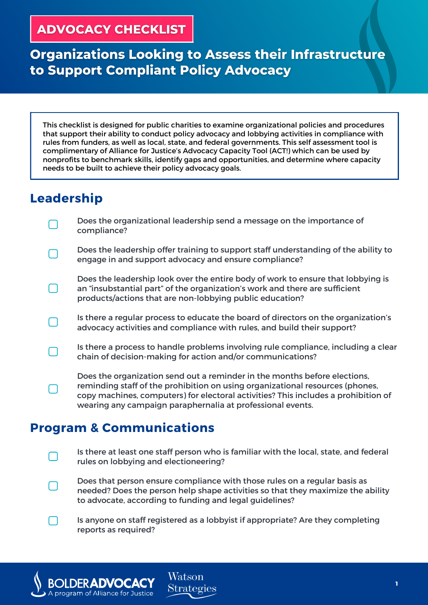#### **ADVOCACY CHECKLIST**

# **Organizations Looking to Assess their Infrastructure** to Support Compliant Policy Advocacy

This checklist is designed for public charities to examine organizational policies and procedures that support their ability to conduct policy advocacy and lobbying activities in compliance with rules from funders, as well as local, state, and federal governments. This self assessment tool is complimentary of Alliance for Justice's Advocacy Capacity Tool (ACT!) which can be used by nonprofits to benchmark skills, identify gaps and opportunities, and determine where capacity needs to be built to achieve their policy advocacy goals.

### **Leadership**

Does the organizational leadership send a message on the importance of compliance?

Does the leadership offer training to support staff understanding of the ability to engage in and support advocacy and ensure compliance?

Does the leadership look over the entire body of work to ensure that lobbying is an "insubstantial part" of the organization's work and there are sufficient products/actions that are non-lobbying public education?

Is there a regular process to educate the board of directors on the organization's advocacy activities and compliance with rules, and build their support?

Is there a process to handle problems involving rule compliance, including a clear chain of decision-making for action and/or communications?

Does the organization send out a reminder in the months before elections, reminding staff of the prohibition on using organizational resources (phones, copy machines, computers) for electoral activities? This includes a prohibition of wearing any campaign paraphernalia at professional events.

#### **Program & Communications**

**DERADVOCACY** 

A program of Alliance for Justice

Is there at least one staff person who is familiar with the local, state, and federal rules on lobbying and electioneering?

Does that person ensure compliance with those rules on a regular basis as needed? Does the person help shape activities so that they maximize the ability to advocate, according to funding and legal guidelines?

Is anyone on staff registered as a lobbyist if appropriate? Are they completing reports as required?

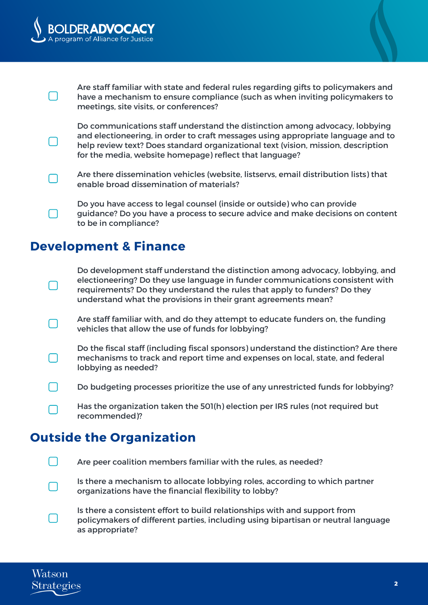



Are staff familiar with state and federal rules regarding gifts to policymakers and have a mechanism to ensure compliance (such as when inviting policymakers to meetings, site visits, or conferences?

Do communications staff understand the distinction among advocacy, lobbying and electioneering, in order to craft messages using appropriate language and to help review text? Does standard organizational text (vision, mission, description for the media, website homepage) reflect that language?

Are there dissemination vehicles (website, listservs, email distribution lists) that enable broad dissemination of materials?

Do you have access to legal counsel (inside or outside) who can provide guidance? Do you have a process to secure advice and make decisions on content to be in compliance?

#### **Development & Finance**

Do development staff understand the distinction among advocacy, lobbying, and electioneering? Do they use language in funder communications consistent with requirements? Do they understand the rules that apply to funders? Do they understand what the provisions in their grant agreements mean?

Are staff familiar with, and do they attempt to educate funders on, the funding vehicles that allow the use of funds for lobbying?

Do the fiscal staff (including fiscal sponsors) understand the distinction? Are there mechanisms to track and report time and expenses on local, state, and federal lobbying as needed?

Do budgeting processes prioritize the use of any unrestricted funds for lobbying?

Has the organization taken the 501(h) election per IRS rules (not required but recommended)?

# **Outside the Organization**

Are peer coalition members familiar with the rules, as needed?

Is there a mechanism to allocate lobbying roles, according to which partner organizations have the financial flexibility to lobby?

Is there a consistent effort to build relationships with and support from policymakers of different parties, including using bipartisan or neutral language as appropriate?